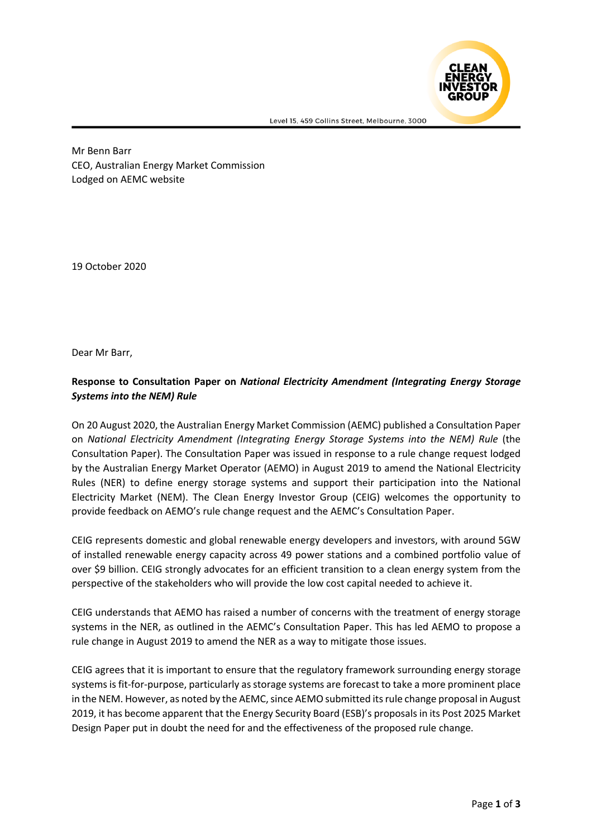

Mr Benn Barr CEO, Australian Energy Market Commission Lodged on AEMC website

19 October 2020

Dear Mr Barr,

## **Response to Consultation Paper on** *National Electricity Amendment (Integrating Energy Storage Systems into the NEM) Rule*

On 20 August 2020, the Australian Energy Market Commission (AEMC) published a Consultation Paper on *National Electricity Amendment (Integrating Energy Storage Systems into the NEM) Rule* (the Consultation Paper). The Consultation Paper was issued in response to a rule change request lodged by the Australian Energy Market Operator (AEMO) in August 2019 to amend the National Electricity Rules (NER) to define energy storage systems and support their participation into the National Electricity Market (NEM). The Clean Energy Investor Group (CEIG) welcomes the opportunity to provide feedback on AEMO's rule change request and the AEMC's Consultation Paper.

CEIG represents domestic and global renewable energy developers and investors, with around 5GW of installed renewable energy capacity across 49 power stations and a combined portfolio value of over \$9 billion. CEIG strongly advocates for an efficient transition to a clean energy system from the perspective of the stakeholders who will provide the low cost capital needed to achieve it.

CEIG understands that AEMO has raised a number of concerns with the treatment of energy storage systems in the NER, as outlined in the AEMC's Consultation Paper. This has led AEMO to propose a rule change in August 2019 to amend the NER as a way to mitigate those issues.

CEIG agrees that it is important to ensure that the regulatory framework surrounding energy storage systems isfit-for-purpose, particularly as storage systems are forecast to take a more prominent place in the NEM. However, as noted by the AEMC, since AEMO submitted its rule change proposal in August 2019, it has become apparent that the Energy Security Board (ESB)'s proposals in its Post 2025 Market Design Paper put in doubt the need for and the effectiveness of the proposed rule change.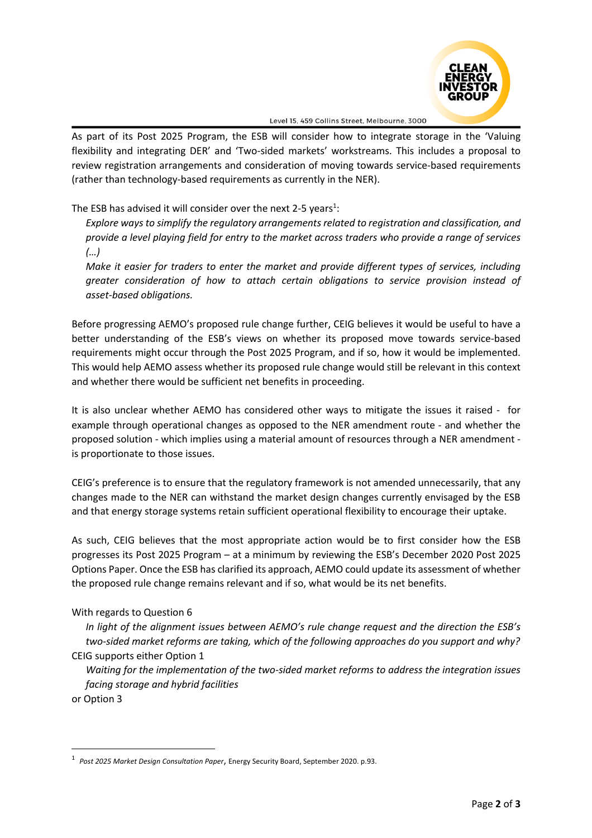

As part of its Post 2025 Program, the ESB will consider how to integrate storage in the 'Valuing flexibility and integrating DER' and 'Two-sided markets' workstreams. This includes a proposal to review registration arrangements and consideration of moving towards service-based requirements (rather than technology-based requirements as currently in the NER).

The ESB has advised it will consider over the next 2-5 years<sup>1</sup>:

*Explore ways to simplify the regulatory arrangements related to registration and classification, and provide a level playing field for entry to the market across traders who provide a range of services (…)*

*Make it easier for traders to enter the market and provide different types of services, including greater consideration of how to attach certain obligations to service provision instead of asset-based obligations.*

Before progressing AEMO's proposed rule change further, CEIG believes it would be useful to have a better understanding of the ESB's views on whether its proposed move towards service-based requirements might occur through the Post 2025 Program, and if so, how it would be implemented. This would help AEMO assess whether its proposed rule change would still be relevant in this context and whether there would be sufficient net benefits in proceeding.

It is also unclear whether AEMO has considered other ways to mitigate the issues it raised - for example through operational changes as opposed to the NER amendment route - and whether the proposed solution - which implies using a material amount of resources through a NER amendment is proportionate to those issues.

CEIG's preference is to ensure that the regulatory framework is not amended unnecessarily, that any changes made to the NER can withstand the market design changes currently envisaged by the ESB and that energy storage systems retain sufficient operational flexibility to encourage their uptake.

As such, CEIG believes that the most appropriate action would be to first consider how the ESB progresses its Post 2025 Program – at a minimum by reviewing the ESB's December 2020 Post 2025 Options Paper. Once the ESB has clarified its approach, AEMO could update its assessment of whether the proposed rule change remains relevant and if so, what would be its net benefits.

## With regards to Question 6

*In light of the alignment issues between AEMO's rule change request and the direction the ESB's two-sided market reforms are taking, which of the following approaches do you support and why?* CEIG supports either Option 1

*Waiting for the implementation of the two-sided market reforms to address the integration issues facing storage and hybrid facilities*

or Option 3

<sup>1</sup> *Post 2025 Market Design Consultation Paper*, Energy Security Board, September 2020. p.93.